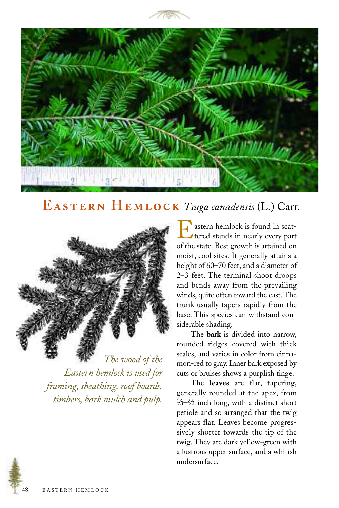



## EASTERN HEMLOCK Tsuga canadensis (L.) Carr.



*The wood of the Eastern hemlock is used for framing, sheathing, roof boards, timbers, bark mulch and pulp.*

Eastern hemlock is found in scat-<br>tered stands in nearly every part<br>of the state. Best crowth is attained on of the state. Best growth is attained on moist, cool sites. It generally attains a height of 60–70 feet, and a diameter of 2–3 feet. The terminal shoot droops and bends away from the prevailing winds, quite often toward the east. The trunk usually tapers rapidly from the base. This species can withstand considerable shading.

The **bark** is divided into narrow, rounded ridges covered with thick scales, and varies in color from cinnamon-red to gray. Inner bark exposed by cuts or bruises shows a purplish tinge.

The **leaves** are flat, tapering, generally rounded at the apex, from  $\frac{1}{3}$ – $\frac{2}{3}$  inch long, with a distinct short petiole and so arranged that the twig appears flat. Leaves become progressively shorter towards the tip of the twig. They are dark yellow-green with a lustrous upper surface, and a whitish undersurface.